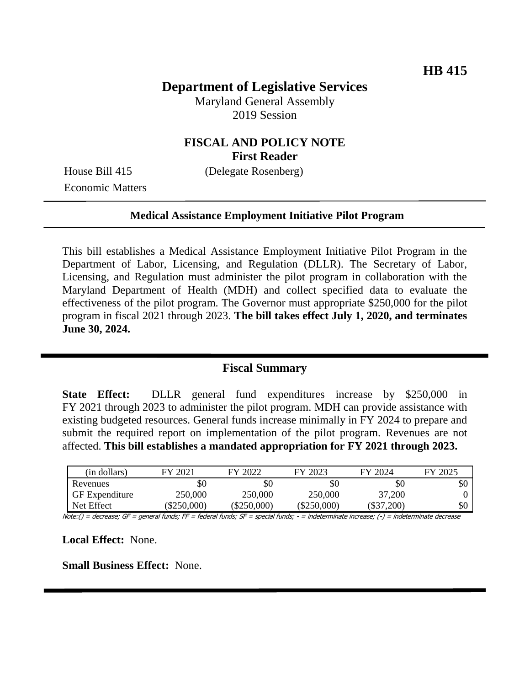# **Department of Legislative Services**

Maryland General Assembly 2019 Session

## **FISCAL AND POLICY NOTE First Reader**

Economic Matters

House Bill 415 (Delegate Rosenberg)

#### **Medical Assistance Employment Initiative Pilot Program**

This bill establishes a Medical Assistance Employment Initiative Pilot Program in the Department of Labor, Licensing, and Regulation (DLLR). The Secretary of Labor, Licensing, and Regulation must administer the pilot program in collaboration with the Maryland Department of Health (MDH) and collect specified data to evaluate the effectiveness of the pilot program. The Governor must appropriate \$250,000 for the pilot program in fiscal 2021 through 2023. **The bill takes effect July 1, 2020, and terminates June 30, 2024.** 

### **Fiscal Summary**

**State Effect:** DLLR general fund expenditures increase by \$250,000 in FY 2021 through 2023 to administer the pilot program. MDH can provide assistance with existing budgeted resources. General funds increase minimally in FY 2024 to prepare and submit the required report on implementation of the pilot program. Revenues are not affected. **This bill establishes a mandated appropriation for FY 2021 through 2023.** 

| (in dollars)          | FY 2021       | FY 2022   | FY 2023       | FY 2024      | FY 2025 |
|-----------------------|---------------|-----------|---------------|--------------|---------|
| Revenues              | \$0           | $\$0$     | \$0           | \$0          | \$0     |
| <b>GF</b> Expenditure | 250,000       | 250,000   | 250,000       | 37,200       |         |
| Net Effect            | $(\$250,000)$ | \$250,000 | $(\$250,000)$ | $(\$37,200)$ | \$0     |

Note:() = decrease; GF = general funds; FF = federal funds; SF = special funds; - = indeterminate increase; (-) = indeterminate decrease

**Local Effect:** None.

**Small Business Effect:** None.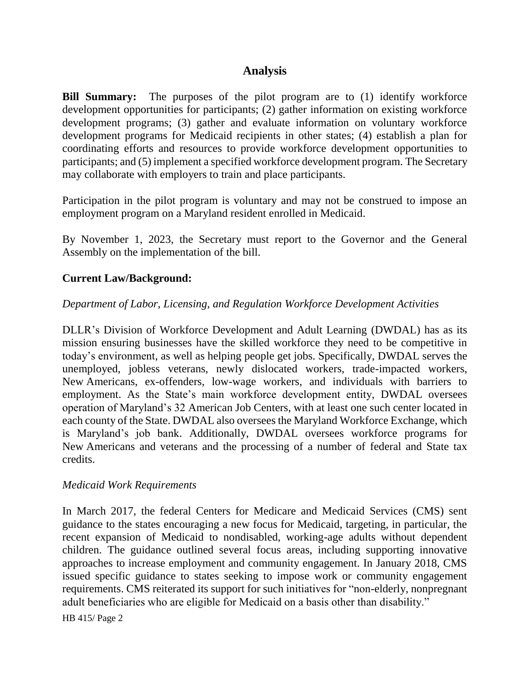## **Analysis**

**Bill Summary:** The purposes of the pilot program are to (1) identify workforce development opportunities for participants; (2) gather information on existing workforce development programs; (3) gather and evaluate information on voluntary workforce development programs for Medicaid recipients in other states; (4) establish a plan for coordinating efforts and resources to provide workforce development opportunities to participants; and (5) implement a specified workforce development program. The Secretary may collaborate with employers to train and place participants.

Participation in the pilot program is voluntary and may not be construed to impose an employment program on a Maryland resident enrolled in Medicaid.

By November 1, 2023, the Secretary must report to the Governor and the General Assembly on the implementation of the bill.

### **Current Law/Background:**

#### *Department of Labor, Licensing, and Regulation Workforce Development Activities*

DLLR's Division of Workforce Development and Adult Learning (DWDAL) has as its mission ensuring businesses have the skilled workforce they need to be competitive in today's environment, as well as helping people get jobs. Specifically, DWDAL serves the unemployed, jobless veterans, newly dislocated workers, trade-impacted workers, New Americans, ex-offenders, low-wage workers, and individuals with barriers to employment. As the State's main workforce development entity, DWDAL oversees operation of Maryland's 32 American Job Centers, with at least one such center located in each county of the State. DWDAL also oversees the Maryland Workforce Exchange, which is Maryland's job bank. Additionally, DWDAL oversees workforce programs for New Americans and veterans and the processing of a number of federal and State tax credits.

#### *Medicaid Work Requirements*

In March 2017, the federal Centers for Medicare and Medicaid Services (CMS) sent guidance to the states encouraging a new focus for Medicaid, targeting, in particular, the recent expansion of Medicaid to nondisabled, working-age adults without dependent children. The guidance outlined several focus areas, including supporting innovative approaches to increase employment and community engagement. In January 2018, CMS issued specific guidance to states seeking to impose work or community engagement requirements. CMS reiterated its support for such initiatives for "non-elderly, nonpregnant adult beneficiaries who are eligible for Medicaid on a basis other than disability."

HB 415/ Page 2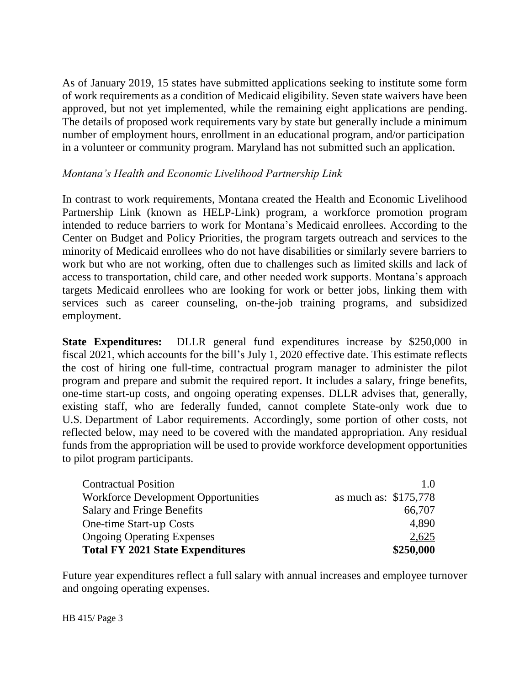As of January 2019, 15 states have submitted applications seeking to institute some form of work requirements as a condition of Medicaid eligibility. Seven state waivers have been approved, but not yet implemented, while the remaining eight applications are pending. The details of proposed work requirements vary by state but generally include a minimum number of employment hours, enrollment in an educational program, and/or participation in a volunteer or community program. Maryland has not submitted such an application.

### *Montana's Health and Economic Livelihood Partnership Link*

In contrast to work requirements, Montana created the Health and Economic Livelihood Partnership Link (known as HELP-Link) program, a workforce promotion program intended to reduce barriers to work for Montana's Medicaid enrollees. According to the Center on Budget and Policy Priorities, the program targets outreach and services to the minority of Medicaid enrollees who do not have disabilities or similarly severe barriers to work but who are not working, often due to challenges such as limited skills and lack of access to transportation, child care, and other needed work supports. Montana's approach targets Medicaid enrollees who are looking for work or better jobs, linking them with services such as career counseling, on-the-job training programs, and subsidized employment.

**State Expenditures:** DLLR general fund expenditures increase by \$250,000 in fiscal 2021, which accounts for the bill's July 1, 2020 effective date. This estimate reflects the cost of hiring one full-time, contractual program manager to administer the pilot program and prepare and submit the required report. It includes a salary, fringe benefits, one-time start-up costs, and ongoing operating expenses. DLLR advises that, generally, existing staff, who are federally funded, cannot complete State-only work due to U.S. Department of Labor requirements. Accordingly, some portion of other costs, not reflected below, may need to be covered with the mandated appropriation. Any residual funds from the appropriation will be used to provide workforce development opportunities to pilot program participants.

| <b>Contractual Position</b>                | 1(0)                  |
|--------------------------------------------|-----------------------|
| <b>Workforce Development Opportunities</b> | as much as: \$175,778 |
| <b>Salary and Fringe Benefits</b>          | 66,707                |
| One-time Start-up Costs                    | 4,890                 |
| <b>Ongoing Operating Expenses</b>          | 2,625                 |
| <b>Total FY 2021 State Expenditures</b>    | \$250,000             |

Future year expenditures reflect a full salary with annual increases and employee turnover and ongoing operating expenses.